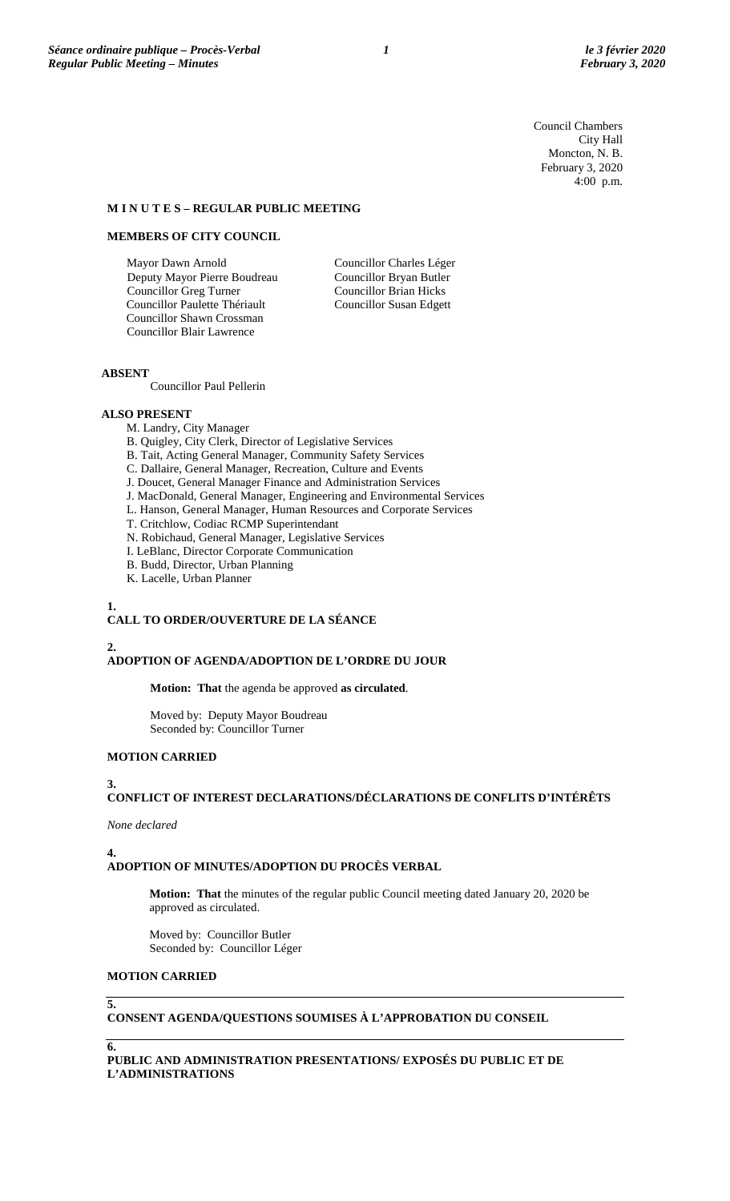Council Chambers City Hall Moncton, N. B. February 3, 2020 4:00 p.m.

#### **M I N U T E S – REGULAR PUBLIC MEETING**

# **MEMBERS OF CITY COUNCIL**

Mayor Dawn Arnold Deputy Mayor Pierre Boudreau Councillor Greg Turner Councillor Paulette Thériault Councillor Shawn Crossman Councillor Blair Lawrence

Councillor Charles Léger Councillor Bryan Butler Councillor Brian Hicks Councillor Susan Edgett

# **ABSENT**

Councillor Paul Pellerin

## **ALSO PRESENT**

- M. Landry, City Manager
- B. Quigley, City Clerk, Director of Legislative Services
- B. Tait, Acting General Manager, Community Safety Services
- C. Dallaire, General Manager, Recreation, Culture and Events
- J. Doucet, General Manager Finance and Administration Services
- J. MacDonald, General Manager, Engineering and Environmental Services
- L. Hanson, General Manager, Human Resources and Corporate Services
- T. Critchlow, Codiac RCMP Superintendant
- N. Robichaud, General Manager, Legislative Services
- I. LeBlanc, Director Corporate Communication
- B. Budd, Director, Urban Planning
- K. Lacelle, Urban Planner

### **1.**

## **CALL TO ORDER/OUVERTURE DE LA SÉANCE**

**2.**

### **ADOPTION OF AGENDA/ADOPTION DE L'ORDRE DU JOUR**

**Motion: That** the agenda be approved **as circulated**.

Moved by: Deputy Mayor Boudreau Seconded by: Councillor Turner

# **MOTION CARRIED**

#### **3.**

# **CONFLICT OF INTEREST DECLARATIONS/DÉCLARATIONS DE CONFLITS D'INTÉRÊTS**

#### *None declared*

**4.**

# **ADOPTION OF MINUTES/ADOPTION DU PROCÈS VERBAL**

**Motion: That** the minutes of the regular public Council meeting dated January 20, 2020 be approved as circulated.

Moved by: Councillor Butler Seconded by: Councillor Léger

#### **MOTION CARRIED**

#### **5.**

**CONSENT AGENDA/QUESTIONS SOUMISES À L'APPROBATION DU CONSEIL**

**6.**

**PUBLIC AND ADMINISTRATION PRESENTATIONS/ EXPOSÉS DU PUBLIC ET DE L'ADMINISTRATIONS**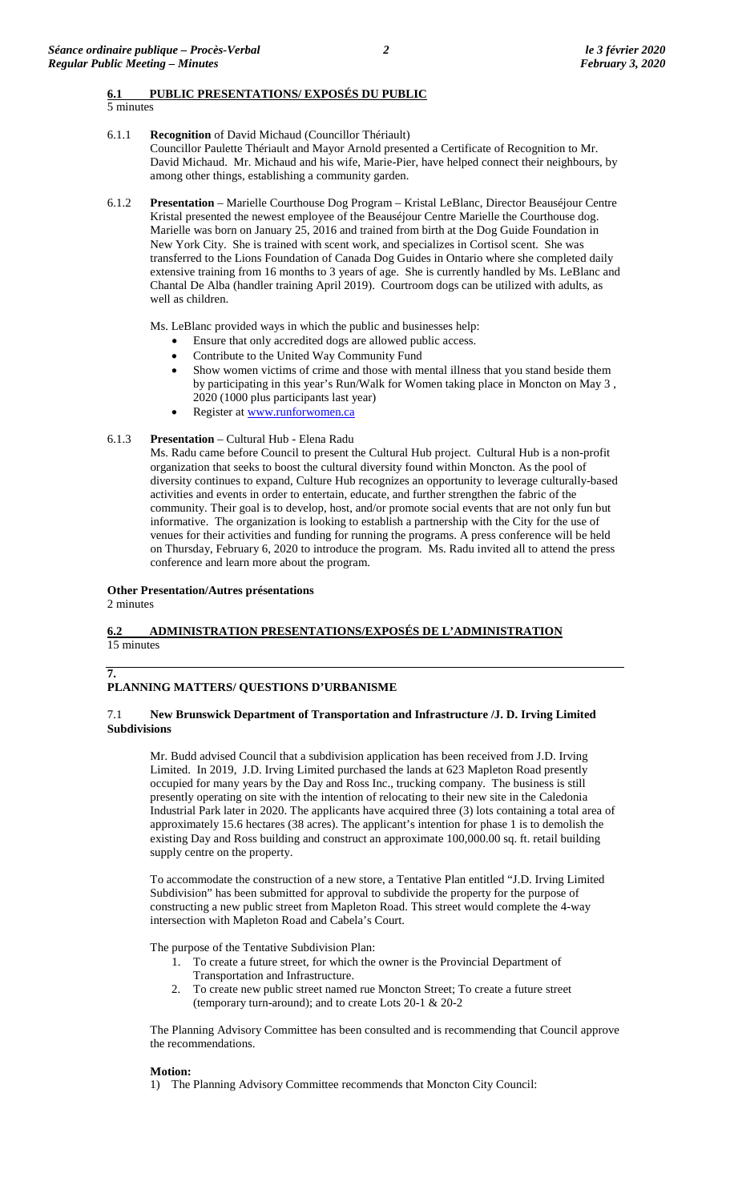5 minutes

6.1.1 **Recognition** of David Michaud (Councillor Thériault)

Councillor Paulette Thériault and Mayor Arnold presented a Certificate of Recognition to Mr. David Michaud. Mr. Michaud and his wife, Marie-Pier, have helped connect their neighbours, by among other things, establishing a community garden.

6.1.2 **Presentation** – Marielle Courthouse Dog Program – Kristal LeBlanc, Director Beauséjour Centre Kristal presented the newest employee of the Beauséjour Centre Marielle the Courthouse dog. Marielle was born on January 25, 2016 and trained from birth at the Dog Guide Foundation in New York City. She is trained with scent work, and specializes in Cortisol scent. She was transferred to the Lions Foundation of Canada Dog Guides in Ontario where she completed daily extensive training from 16 months to 3 years of age. She is currently handled by Ms. LeBlanc and Chantal De Alba (handler training April 2019). Courtroom dogs can be utilized with adults, as well as children.

Ms. LeBlanc provided ways in which the public and businesses help:

- Ensure that only accredited dogs are allowed public access.
- Contribute to the United Way Community Fund
- Show women victims of crime and those with mental illness that you stand beside them by participating in this year's Run/Walk for Women taking place in Moncton on May 3 , 2020 (1000 plus participants last year)
- Register at [www.runforwomen.ca](http://www.runforwomen.ca/)

## 6.1.3 **Presentation** – Cultural Hub - Elena Radu

Ms. Radu came before Council to present the Cultural Hub project. Cultural Hub is a non-profit organization that seeks to boost the cultural diversity found within Moncton. As the pool of diversity continues to expand, Culture Hub recognizes an opportunity to leverage culturally-based activities and events in order to entertain, educate, and further strengthen the fabric of the community. Their goal is to develop, host, and/or promote social events that are not only fun but informative. The organization is looking to establish a partnership with the City for the use of venues for their activities and funding for running the programs. A press conference will be held on Thursday, February 6, 2020 to introduce the program. Ms. Radu invited all to attend the press conference and learn more about the program.

### **Other Presentation/Autres présentations**

2 minutes

**7.**

# **6.2 ADMINISTRATION PRESENTATIONS/EXPOSÉS DE L'ADMINISTRATION**  15 minutes

# **PLANNING MATTERS/ QUESTIONS D'URBANISME**

### 7.1 **New Brunswick Department of Transportation and Infrastructure /J. D. Irving Limited Subdivisions**

Mr. Budd advised Council that a subdivision application has been received from J.D. Irving Limited. In 2019, J.D. Irving Limited purchased the lands at 623 Mapleton Road presently occupied for many years by the Day and Ross Inc., trucking company. The business is still presently operating on site with the intention of relocating to their new site in the Caledonia Industrial Park later in 2020. The applicants have acquired three (3) lots containing a total area of approximately 15.6 hectares (38 acres). The applicant's intention for phase 1 is to demolish the existing Day and Ross building and construct an approximate 100,000.00 sq. ft. retail building supply centre on the property.

To accommodate the construction of a new store, a Tentative Plan entitled "J.D. Irving Limited Subdivision" has been submitted for approval to subdivide the property for the purpose of constructing a new public street from Mapleton Road. This street would complete the 4-way intersection with Mapleton Road and Cabela's Court.

The purpose of the Tentative Subdivision Plan:

- 1. To create a future street, for which the owner is the Provincial Department of Transportation and Infrastructure.
- 2. To create new public street named rue Moncton Street; To create a future street (temporary turn-around); and to create Lots 20-1 & 20-2

The Planning Advisory Committee has been consulted and is recommending that Council approve the recommendations.

### **Motion:**

1) The Planning Advisory Committee recommends that Moncton City Council: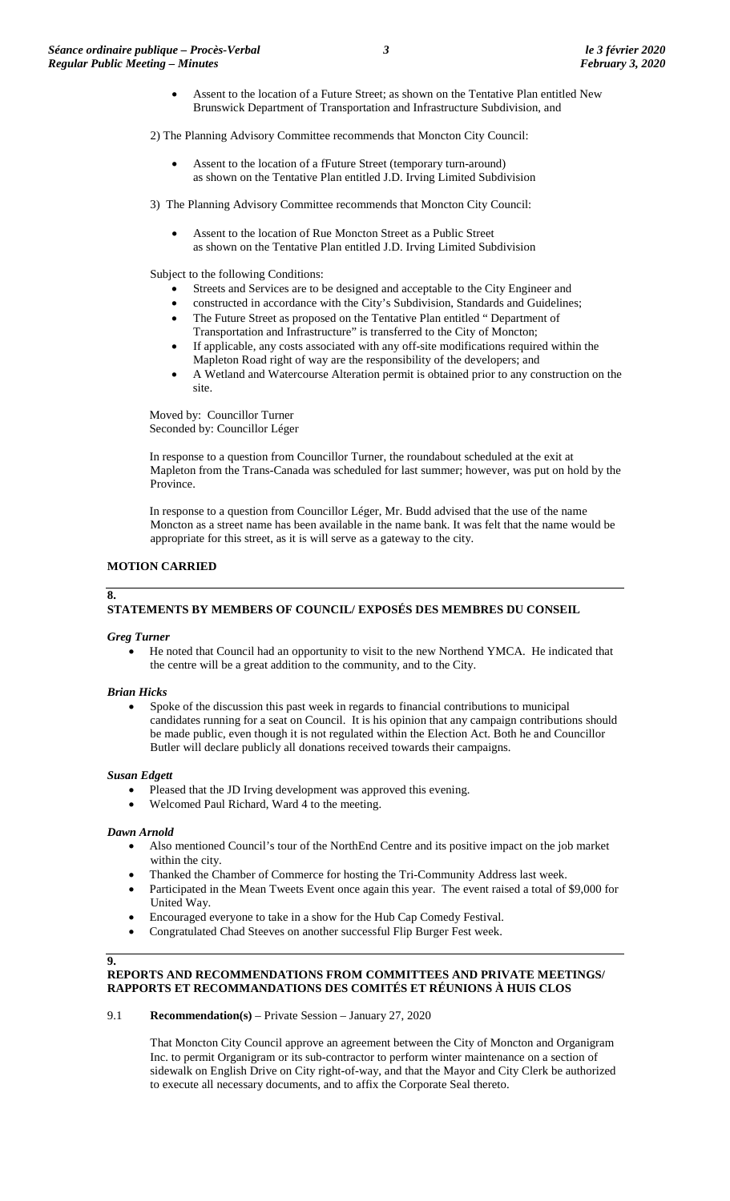• Assent to the location of a Future Street; as shown on the Tentative Plan entitled New Brunswick Department of Transportation and Infrastructure Subdivision, and

2) The Planning Advisory Committee recommends that Moncton City Council:

- Assent to the location of a fFuture Street (temporary turn-around) as shown on the Tentative Plan entitled J.D. Irving Limited Subdivision
- 3) The Planning Advisory Committee recommends that Moncton City Council:
	- Assent to the location of Rue Moncton Street as a Public Street as shown on the Tentative Plan entitled J.D. Irving Limited Subdivision

Subject to the following Conditions:

- Streets and Services are to be designed and acceptable to the City Engineer and
- constructed in accordance with the City's Subdivision, Standards and Guidelines;
- The Future Street as proposed on the Tentative Plan entitled " Department of
- Transportation and Infrastructure" is transferred to the City of Moncton; • If applicable, any costs associated with any off-site modifications required within the Mapleton Road right of way are the responsibility of the developers; and
- A Wetland and Watercourse Alteration permit is obtained prior to any construction on the site.

Moved by: Councillor Turner Seconded by: Councillor Léger

In response to a question from Councillor Turner, the roundabout scheduled at the exit at Mapleton from the Trans-Canada was scheduled for last summer; however, was put on hold by the Province.

In response to a question from Councillor Léger, Mr. Budd advised that the use of the name Moncton as a street name has been available in the name bank. It was felt that the name would be appropriate for this street, as it is will serve as a gateway to the city.

# **MOTION CARRIED**

# **STATEMENTS BY MEMBERS OF COUNCIL/ EXPOSÉS DES MEMBRES DU CONSEIL**

### *Greg Turner*

**8.**

• He noted that Council had an opportunity to visit to the new Northend YMCA. He indicated that the centre will be a great addition to the community, and to the City.

### *Brian Hicks*

• Spoke of the discussion this past week in regards to financial contributions to municipal candidates running for a seat on Council. It is his opinion that any campaign contributions should be made public, even though it is not regulated within the Election Act. Both he and Councillor Butler will declare publicly all donations received towards their campaigns.

### *Susan Edgett*

- Pleased that the JD Irving development was approved this evening.
- Welcomed Paul Richard, Ward 4 to the meeting.

### *Dawn Arnold*

- Also mentioned Council's tour of the NorthEnd Centre and its positive impact on the job market within the city.
- Thanked the Chamber of Commerce for hosting the Tri-Community Address last week.
- Participated in the Mean Tweets Event once again this year. The event raised a total of \$9,000 for United Way.
- Encouraged everyone to take in a show for the Hub Cap Comedy Festival.
- Congratulated Chad Steeves on another successful Flip Burger Fest week.

### **9.**

## **REPORTS AND RECOMMENDATIONS FROM COMMITTEES AND PRIVATE MEETINGS/ RAPPORTS ET RECOMMANDATIONS DES COMITÉS ET RÉUNIONS À HUIS CLOS**

### 9.1 **Recommendation(s)** – Private Session – January 27, 2020

That Moncton City Council approve an agreement between the City of Moncton and Organigram Inc. to permit Organigram or its sub-contractor to perform winter maintenance on a section of sidewalk on English Drive on City right-of-way, and that the Mayor and City Clerk be authorized to execute all necessary documents, and to affix the Corporate Seal thereto.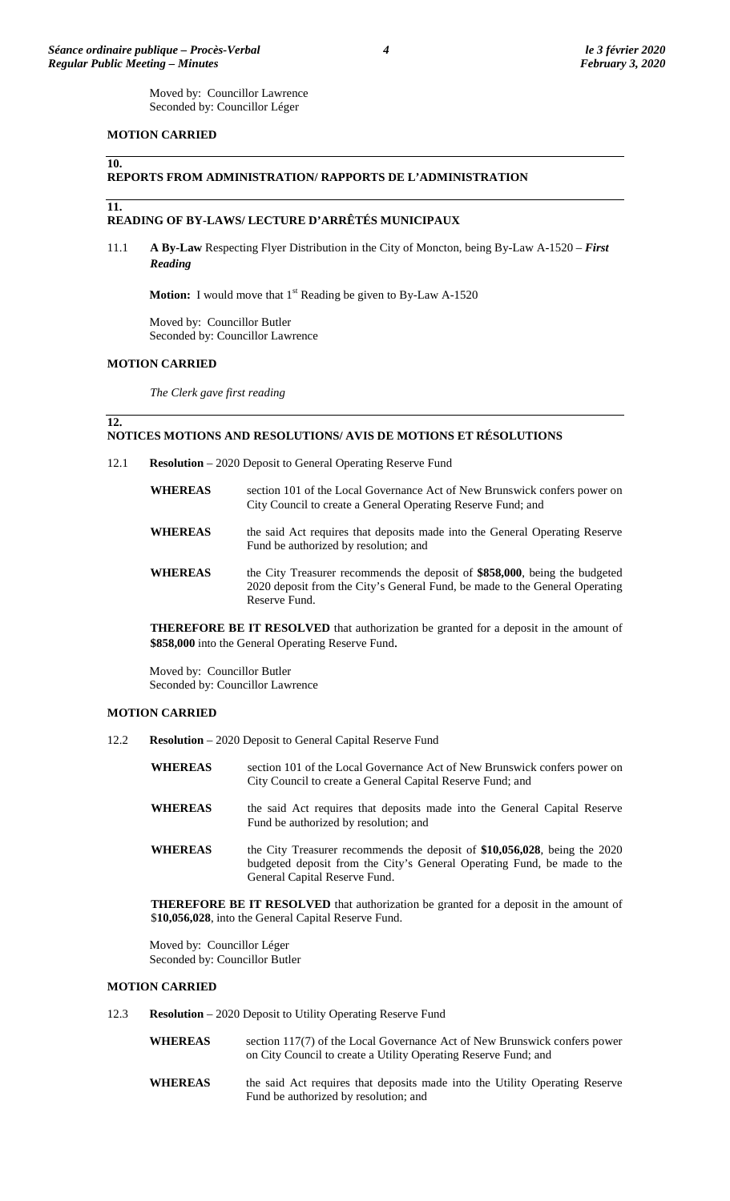### **MOTION CARRIED**

#### **REPORTS FROM ADMINISTRATION/ RAPPORTS DE L'ADMINISTRATION**

**11.**

**12.**

**10.**

### **READING OF BY-LAWS/ LECTURE D'ARRÊTÉS MUNICIPAUX**

11.1 **A By-Law** Respecting Flyer Distribution in the City of Moncton, being By-Law A-1520 – *First Reading*

**Motion:** I would move that 1<sup>st</sup> Reading be given to By-Law A-1520

Moved by: Councillor Butler Seconded by: Councillor Lawrence

### **MOTION CARRIED**

*The Clerk gave first reading* 

#### **NOTICES MOTIONS AND RESOLUTIONS/ AVIS DE MOTIONS ET RÉSOLUTIONS**

12.1 **Resolution** – 2020 Deposit to General Operating Reserve Fund

| <b>WHEREAS</b> | section 101 of the Local Governance Act of New Brunswick confers power on<br>City Council to create a General Operating Reserve Fund; and                                  |
|----------------|----------------------------------------------------------------------------------------------------------------------------------------------------------------------------|
| <b>WHEREAS</b> | the said Act requires that deposits made into the General Operating Reserve<br>Fund be authorized by resolution; and                                                       |
| <b>WHEREAS</b> | the City Treasurer recommends the deposit of \$858,000, being the budgeted<br>2020 deposit from the City's General Fund, be made to the General Operating<br>Reserve Fund. |

**THEREFORE BE IT RESOLVED** that authorization be granted for a deposit in the amount of **\$858,000** into the General Operating Reserve Fund.

Moved by: Councillor Butler Seconded by: Councillor Lawrence

#### **MOTION CARRIED**

- 12.2 **Resolution** 2020 Deposit to General Capital Reserve Fund
	- **WHEREAS** section 101 of the Local Governance Act of New Brunswick confers power on City Council to create a General Capital Reserve Fund; and
	- **WHEREAS** the said Act requires that deposits made into the General Capital Reserve Fund be authorized by resolution; and
	- **WHEREAS** the City Treasurer recommends the deposit of **\$10,056,028**, being the 2020 budgeted deposit from the City's General Operating Fund, be made to the General Capital Reserve Fund.

**THEREFORE BE IT RESOLVED** that authorization be granted for a deposit in the amount of \$**10,056,028**, into the General Capital Reserve Fund.

Moved by: Councillor Léger Seconded by: Councillor Butler

### **MOTION CARRIED**

- 12.3 **Resolution** 2020 Deposit to Utility Operating Reserve Fund
	- **WHEREAS** section 117(7) of the Local Governance Act of New Brunswick confers power on City Council to create a Utility Operating Reserve Fund; and
	- **WHEREAS** the said Act requires that deposits made into the Utility Operating Reserve Fund be authorized by resolution; and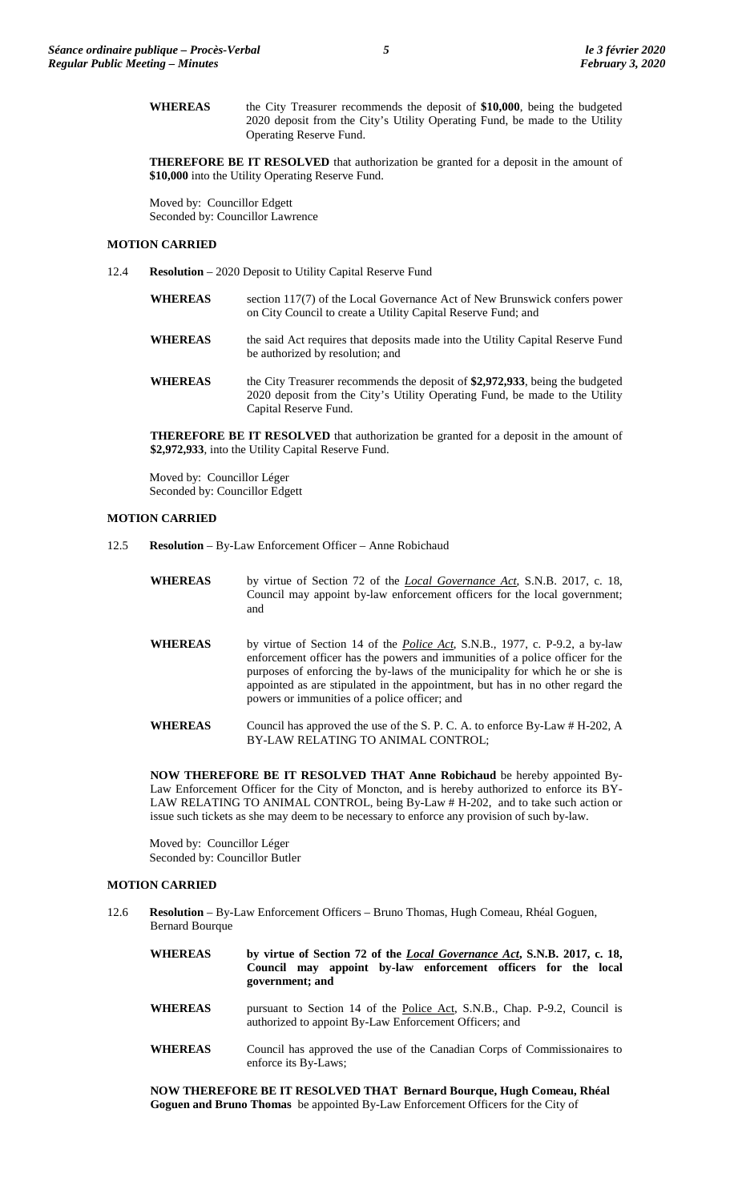**WHEREAS** the City Treasurer recommends the deposit of **\$10,000**, being the budgeted 2020 deposit from the City's Utility Operating Fund, be made to the Utility Operating Reserve Fund.

**THEREFORE BE IT RESOLVED** that authorization be granted for a deposit in the amount of **\$10,000** into the Utility Operating Reserve Fund.

Moved by: Councillor Edgett Seconded by: Councillor Lawrence

## **MOTION CARRIED**

- 12.4 **Resolution** 2020 Deposit to Utility Capital Reserve Fund
	- **WHEREAS** section 117(7) of the Local Governance Act of New Brunswick confers power on City Council to create a Utility Capital Reserve Fund; and
	- WHEREAS the said Act requires that deposits made into the Utility Capital Reserve Fund be authorized by resolution; and
	- **WHEREAS** the City Treasurer recommends the deposit of **\$2,972,933**, being the budgeted 2020 deposit from the City's Utility Operating Fund, be made to the Utility Capital Reserve Fund.

**THEREFORE BE IT RESOLVED** that authorization be granted for a deposit in the amount of **\$2,972,933**, into the Utility Capital Reserve Fund.

Moved by: Councillor Léger Seconded by: Councillor Edgett

#### **MOTION CARRIED**

- 12.5 **Resolution** By-Law Enforcement Officer Anne Robichaud
	- **WHEREAS** by virtue of Section 72 of the *Local Governance Act*, S.N.B. 2017, c. 18, Council may appoint by-law enforcement officers for the local government; and
	- **WHEREAS** by virtue of Section 14 of the *Police Act*, S.N.B., 1977, c. P-9.2, a by-law enforcement officer has the powers and immunities of a police officer for the purposes of enforcing the by-laws of the municipality for which he or she is appointed as are stipulated in the appointment, but has in no other regard the powers or immunities of a police officer; and
	- **WHEREAS** Council has approved the use of the S. P. C. A. to enforce By-Law # H-202, A BY-LAW RELATING TO ANIMAL CONTROL;

**NOW THEREFORE BE IT RESOLVED THAT Anne Robichaud** be hereby appointed By-Law Enforcement Officer for the City of Moncton, and is hereby authorized to enforce its BY-LAW RELATING TO ANIMAL CONTROL, being By-Law # H-202, and to take such action or issue such tickets as she may deem to be necessary to enforce any provision of such by-law.

Moved by: Councillor Léger Seconded by: Councillor Butler

### **MOTION CARRIED**

- 12.6 **Resolution** By-Law Enforcement Officers Bruno Thomas, Hugh Comeau, Rhéal Goguen, Bernard Bourque
	- **WHEREAS by virtue of Section 72 of the** *Local Governance Act***, S.N.B. 2017, c. 18, Council may appoint by-law enforcement officers for the local government; and** WHEREAS pursuant to Section 14 of the Police Act, S.N.B., Chap. P-9.2, Council is authorized to appoint By-Law Enforcement Officers; and
	- **WHEREAS** Council has approved the use of the Canadian Corps of Commissionaires to enforce its By-Laws;

**NOW THEREFORE BE IT RESOLVED THAT Bernard Bourque, Hugh Comeau, Rhéal Goguen and Bruno Thomas** be appointed By-Law Enforcement Officers for the City of